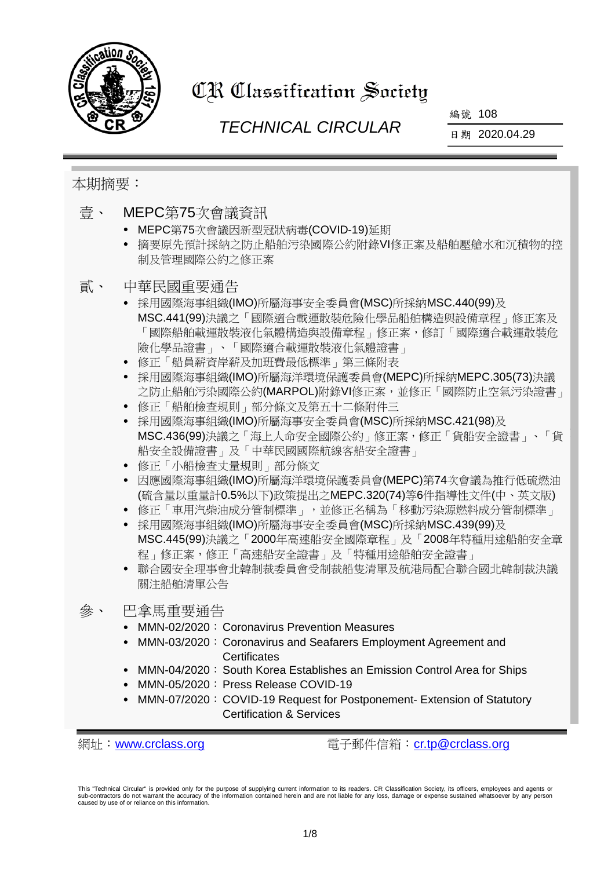

# CR Classification Society

# *TECHNICAL CIRCULAR*

編號 108

日期 2020.04.29

### 本期摘要:

- 壹、 MEPC第75次會議資訊
	- MEPC第75次會議因新型冠狀病毒(COVID-19)延期
	- 摘要原先預計採納之防止船舶污染國際公約附錄VI修正案及船舶壓艙水和沉積物的控 制及管理國際公約之修正案
- 貳、 中華民國重要通告
	- 採用國際海事組織(IMO)所屬海事安全委員會(MSC)所採納MSC.440(99)及 MSC.441(99)決議之「國際適合載運散裝危險化學品船舶構造與設備章程」修正案及 「國際船舶載運散裝液化氣體構造與設備章程」修正案,修訂「國際適合載運散裝危 險化學品證書」、「國際適合載運散裝液化氣體證書」
	- 修正「船員薪資岸薪及加班費最低標準」第三條附表
	- 採用國際海事組織(IMO)所屬海洋環境保護委員會(MEPC)所採納MEPC.305(73)決議 之防止船舶污染國際公約(MARPOL)附錄VI修正案,並修正「國際防止空氣污染證書」
	- 修正「船舶檢查規則」部分條文及第五十二條附件三
	- 採用國際海事組織(IMO)所屬海事安全委員會(MSC)所採納MSC.421(98)及 MSC.436(99)決議之「海上人命安全國際公約」修正案,修正「貨船安全證書」、「貨 船安全設備證書」及「中華民國國際航線客船安全證書」
	- 修正「小船檢查丈量規則」部分條文
	- 因應國際海事組織(IMO)所屬海洋環境保護委員會(MEPC)第74次會議為推行低硫燃油 (硫含量以重量計0.5%以下)政策提出之MEPC.320(74)等6件指導性文件(中、英文版)
	- 修正「車用汽柴油成分管制標準」,並修正名稱為「移動污染源燃料成分管制標準」
	- 採用國際海事組織(IMO)所屬海事安全委員會(MSC)所採納MSC.439(99)及 MSC.445(99)決議之「2000年高速船安全國際章程」及「2008年特種用途船舶安全章 程」修正案,修正「高速船安全證書」及「特種用途船舶安全證書」
	- 聯合國安全理事會北韓制裁委員會受制裁船隻清單及航港局配合聯合國北韓制裁決議 關注船舶清單公告
- 參、 巴拿馬重要通告
	- MMN-02/2020: Coronavirus Prevention Measures
	- MMN-03/2020: Coronavirus and Seafarers Employment Agreement and **Certificates**
	- MMN-04/2020: South Korea Establishes an Emission Control Area for Ships
	- MMN-05/2020: Press Release COVID-19
	- MMN-07/2020: COVID-19 Request for Postponement- Extension of Statutory Certification & Services

網址: [www.crclass.org](http://www.crclass.org/) 雷子郵件信箱: [cr.tp@crclass.org](mailto:cr.tp@crclass.org)

This "Technical Circular" is provided only for the purpose of supplying current information to its readers. CR Classification Society, its officers, employees and agents or sub-contractors do not warrant the accuracy of the information contained herein and are not liable for any loss, damage or expense sustained whatsoever by any person caused by use of or reliance on this information.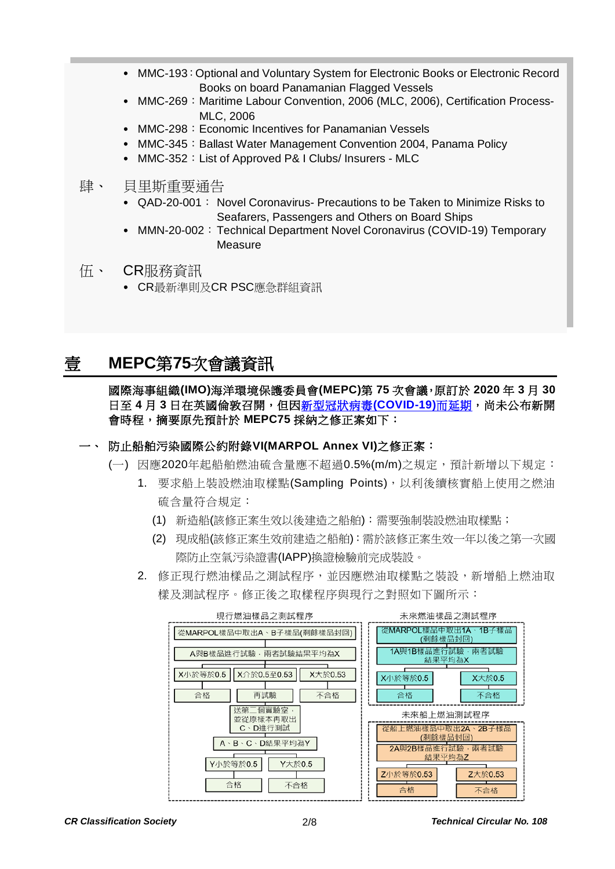- MMC-193:Optional and Voluntary System for Electronic Books or Electronic Record Books on board Panamanian Flagged Vessels
- MMC-269: Maritime Labour Convention, 2006 (MLC, 2006), Certification Process-MLC, 2006
- MMC-298: Economic Incentives for Panamanian Vessels
- MMC-345: Ballast Water Management Convention 2004, Panama Policy
- MMC-352: List of Approved P& I Clubs/ Insurers MLC
- 肆、 貝里斯重要通告
	- QAD-20-001: Novel Coronavirus- Precautions to be Taken to Minimize Risks to Seafarers, Passengers and Others on Board Ships
	- MMN-20-002: Technical Department Novel Coronavirus (COVID-19) Temporary Measure
- 伍、 CR服務資訊
	- CR最新準則及CR PSC應急群組資訊

## 壹 **MEPC**第**75**次會議資訊

國際海事組織**(IMO)**海洋環境保護委員會**(MEPC)**第 **75** 次會議,原訂於 **2020** 年 **3** 月 **30** 日至 4 月 3 日在英國倫敦召開,但[因新型冠狀病毒](http://www.imo.org/en/MediaCentre/PressBriefings/Pages/04-Covid-19-IMO-meetings-.aspx)(COVID-19)而延期,尚未公布新開 會時程,摘要原先預計於 **MEPC75** 採納之修正案如下:

#### 一、 防止船舶污染國際公約附錄**VI(MARPOL Annex VI)**之修正案:

- (一) 因應2020年起船舶燃油硫含量應不超過0.5%(m/m)之規定,預計新增以下規定:
	- 1. 要求船上裝設燃油取樣點(Sampling Points),以利後續核實船上使用之燃油 硫含量符合規定:
		- (1) 新造船(該修正案生效以後建造之船舶):需要強制裝設燃油取樣點;
		- (2) 現成船(該修正案生效前建造之船舶):需於該修正案生效一年以後之第一次國 際防止空氣污染證書(IAPP)換證檢驗前完成裝設。
	- 2. 修正現行燃油樣品之測試程序,並因應燃油取樣點之裝設,新增船上燃油取 樣及測試程序。修正後之取樣程序與現行之對照如下圖所示:

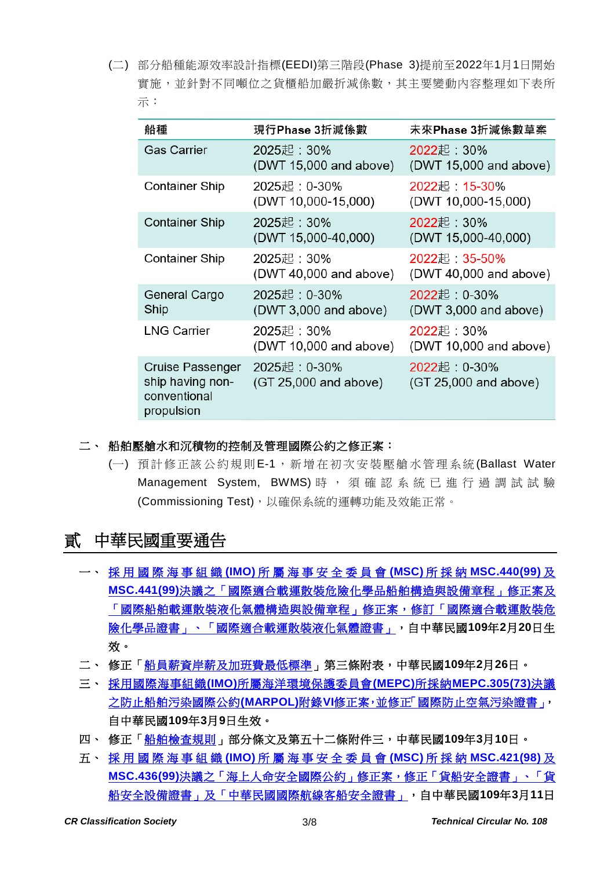(二) 部分船種能源效率設計指標(EEDI)第三階段(Phase 3)提前至2022年1月1日開始 實施,並針對不同噸位之貨櫃船加嚴折減係數,其主要變動內容整理如下表所 示:

| 船種                                                                 | 現行Phase 3折減係數                           | 未來Phase 3折減係數草案                        |
|--------------------------------------------------------------------|-----------------------------------------|----------------------------------------|
| <b>Gas Carrier</b>                                                 | 2025起:30%<br>(DWT 15,000 and above)     | 2022起:30%<br>(DWT 15,000 and above)    |
| Container Ship                                                     | 2025起:0-30%<br>(DWT 10,000-15,000)      | 2022起:15-30%<br>(DWT 10,000-15,000)    |
| <b>Container Ship</b>                                              | 2025起:30%<br>(DWT 15,000-40,000)        | 2022起:30%<br>(DWT 15,000-40,000)       |
| Container Ship                                                     | 2025起:30%<br>(DWT 40,000 and above)     | 2022起:35-50%<br>(DWT 40,000 and above) |
| General Cargo<br>Ship                                              | 2025起: 0-30%<br>$(DWT 3,000$ and above) | 2022起: 0-30%<br>(DWT 3,000 and above)  |
| <b>LNG Carrier</b>                                                 | 2025起:30%<br>(DWT 10,000 and above)     | 2022起: 30%<br>(DWT 10,000 and above)   |
| Cruise Passenger<br>ship having non-<br>conventional<br>propulsion | 2025起:0-30%<br>(GT 25,000 and above)    | 2022起: 0-30%<br>(GT 25,000 and above)  |

二、 船舶壓艙水和沉積物的控制及管理國際公約之修正案:

(一) 預計修正該公約規則E-1,新增在初次安裝壓艙水管理系統(Ballast Water Management System, BWMS) 時, 須 確 認 系 統 已 進 行 過 調 試 試 驗 (Commissioning Test),以確保系統的運轉功能及效能正常。

## 貳 中華民國重要通告

- 一、 採用國際海事組織 **(IMO)** [所屬海事安全委員會](https://gazette.nat.gov.tw/egFront/detail.do?metaid=113424&log=detailLog) **(MSC)** 所採納 **MSC.440(99)** 及 **MSC.441(99)**[決議之「國際適合載運散裝危險化學品船舶構造與設備章程」修正案及](https://gazette.nat.gov.tw/egFront/detail.do?metaid=113424&log=detailLog) [「國際船舶載運散裝液化氣體構造與設備章程」修正案,修訂「國際適合載運散裝危](https://gazette.nat.gov.tw/egFront/detail.do?metaid=113424&log=detailLog) [險化學品證書」、「國際適合載運散裝液化氣體證書」,](https://gazette.nat.gov.tw/egFront/detail.do?metaid=113424&log=detailLog)自中華民國**109**年**2**月**20**日生 效。
- 二、 修正[「船員薪資岸薪及加班費最低標準」](https://gazette.nat.gov.tw/egFront/detail.do?metaid=113576&log=detailLog)第三條附表,中華民國**109**年**2**月**26**日。
- 三、 採用國際海事組織**(IMO)**[所屬海洋環境保護委員會](https://gazette.nat.gov.tw/egFront/detail.do?metaid=113837&log=detailLog)**(MEPC)**所採納**MEPC.305(73)**決議 之防止船舶污染國際公約**(MARPOL)**附錄**VI**[修正案,並修正「國際防止空氣污染證書」,](https://gazette.nat.gov.tw/egFront/detail.do?metaid=113837&log=detailLog) 自中華民國**109**年**3**月**9**日生效。
- 四、 修正[「船舶檢查規則」](https://gazette.nat.gov.tw/egFront/detail.do?metaid=113883&log=detailLog)部分條文及第五十二條附件三,中華民國**109**年**3**月**10**日。
- 五、 採用國際海事組織 **(IMO)** [所屬海事安全委員會](https://gazette.nat.gov.tw/egFront/detail.do?metaid=113896&log=detailLog) **(MSC)** 所採納 **MSC.421(98)** 及 **MSC.436(99)**[決議之「海上人命安全國際公約」修正案,修正「貨船安全證書」、「貨](https://gazette.nat.gov.tw/egFront/detail.do?metaid=113896&log=detailLog) [船安全設備證書」及「中華民國國際航線客船安全證書」,](https://gazette.nat.gov.tw/egFront/detail.do?metaid=113896&log=detailLog)自中華民國**109**年**3**月**11**日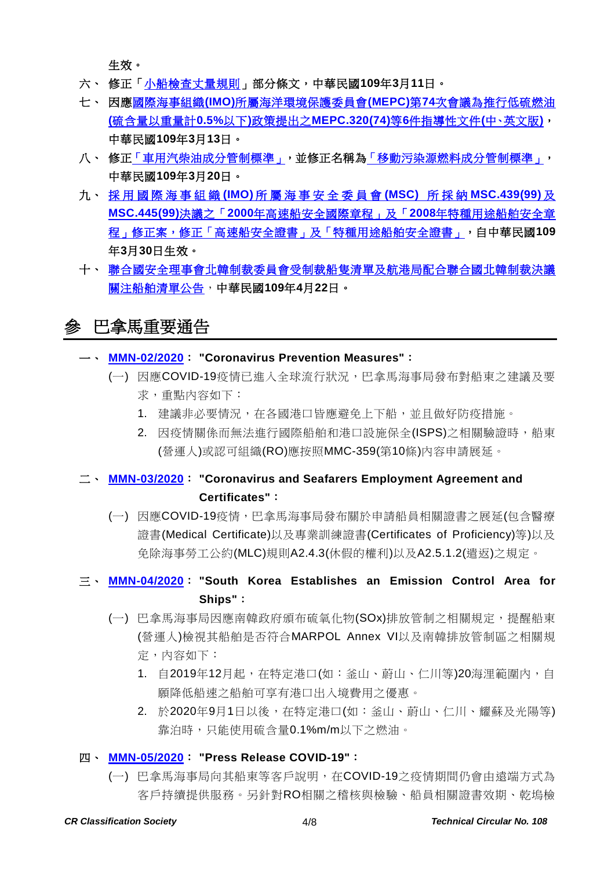生效。

- 六、 修正[「小船檢查丈量規則」](https://gazette.nat.gov.tw/egFront/detail.do?metaid=113899&log=detailLog)部分條文,中華民國**109**年**3**月**11**日。
- 七、 因應國際海事組織**(IMO)**[所屬海洋環境保護委員會](https://www.motcmpb.gov.tw/DownloadFile/Top?SiteId=1&NodeId=83)**(MEPC)**第**74**次會議為推行低硫燃油 **(**[硫含量以重量計](https://www.motcmpb.gov.tw/DownloadFile/Top?SiteId=1&NodeId=83)**0.5%**以下**)**政策提出之**MEPC.320(74)**等**6**件指導性文件**(**中、英文版**)**, 中華民國**109**年**3**月**13**日。
- 八、 修[正「車用汽柴油成分管制標準」,](https://gazette.nat.gov.tw/egFront/detail.do?metaid=114149&log=detailLog)並修正名稱[為「移動污染源燃料成分管制標準」,](https://gazette.nat.gov.tw/egFront/detail.do?metaid=114149&log=detailLog) 中華民國**109**年**3**月**20**日。
- 九、 採用國際海事組織 **(IMO)** [所屬海事安全委員會](https://gazette.nat.gov.tw/egFront/detail.do?metaid=114349&log=detailLog) **(MSC)** 所採納 **MSC.439(99)** 及 **MSC.445(99)**決議之「**2000**[年高速船安全國際章程」及「](https://gazette.nat.gov.tw/egFront/detail.do?metaid=114349&log=detailLog)**2008**年特種用途船舶安全章 [程」修正案,修正「高速船安全證書」及「特種用途船舶安全證書」,](https://gazette.nat.gov.tw/egFront/detail.do?metaid=114349&log=detailLog)自中華民國**109** 年**3**月**30**日生效。
- 十、 [聯合國安全理事會北韓制裁委員會受制裁船隻清單及航港局配合聯合國北韓制裁決議](https://www.motcmpb.gov.tw/Information/Detail/cfc09406-61f5-4462-a7ee-4bb3de2fdab0?SiteId=1&NodeId=103) [關注船舶清單公告,](https://www.motcmpb.gov.tw/Information/Detail/cfc09406-61f5-4462-a7ee-4bb3de2fdab0?SiteId=1&NodeId=103)中華民國**109**年**4**月**22**日。

# 參 巴拿馬重要涌告

- 一、 **[MMN-02/2020](https://www.crclass.org/chinese/download/ti-tc/108/3-1%20MMN-02-2020%20-%20CORONAVIRUS-AMP-%20SAFETY-CIRCULAR%20-%2023-03-2020.pdf)**: **"Coronavirus Prevention Measures"**:
	- (一) 因應COVID-19疫情已進入全球流行狀況,巴拿馬海事局發布對船東之建議及要
		- 求,重點內容如下:
		- 1. 建議非必要情況,在各國港口皆應避免上下船,並且做好防疫措施。
		- 2. 因疫情關係而無法進行國際船舶和港口設施保全(ISPS)之相關驗證時,船東 (營運人)或認可組織(RO)應按照MMC-359(第10條)內容申請展延。
- 二、 **[MMN-03/2020](https://www.crclass.org/chinese/download/ti-tc/108/3-2%20MMN-03-2020-COVID-19-March-27.pdf)**: **"Coronavirus and Seafarers Employment Agreement and Certificates"**:
	- (一) 因應COVID-19疫情,巴拿馬海事局發布關於申請船員相關證書之展延(包含醫療 證書(Medical Certificate)以及專業訓練證書(Certificates of Proficiency)等)以及 免除海事勞工公約(MLC)規則A2.4.3(休假的權利)以及A2.5.1.2(遣返)之規定。
- 三、 **[MMN-04/2020](https://www.crclass.org/chinese/download/ti-tc/108/3-3%20MMN-04-2020-NEW-FEB-2020.pdf)**: **"South Korea Establishes an Emission Control Area for Ships"**:
	- (一) 巴拿馬海事局因應南韓政府頒布硫氧化物(SOx)排放管制之相關規定,提醒船東 (營運人)檢視其船舶是否符合MARPOL Annex VI以及南韓排放管制區之相關規 定,內容如下:
		- 1. 自2019年12月起,在特定港口(如:釜山、蔚山、仁川等)20海浬範圍內,自 願降低船速之船舶可享有港口出入境費用之優惠。
		- 2. 於2020年9月1日以後,在特定港口(如:釜山、蔚山、仁川、耀蘇及光陽等) 靠泊時,只能使用硫含量0.1%m/m以下之燃油。
- 四、 **[MMN-05/2020](https://www.crclass.org/chinese/download/ti-tc/108/3-4%20MMN-052020%20-%20Press%20Release%20COVID-19.pdf)**: **"Press Release COVID-19"**:
	- (一) 巴拿馬海事局向其船東等客戶說明,在COVID-19之疫情期間仍會由遠端方式為 客戶持續提供服務。另針對RO相關之稽核與檢驗、船員相關證書效期、乾塢檢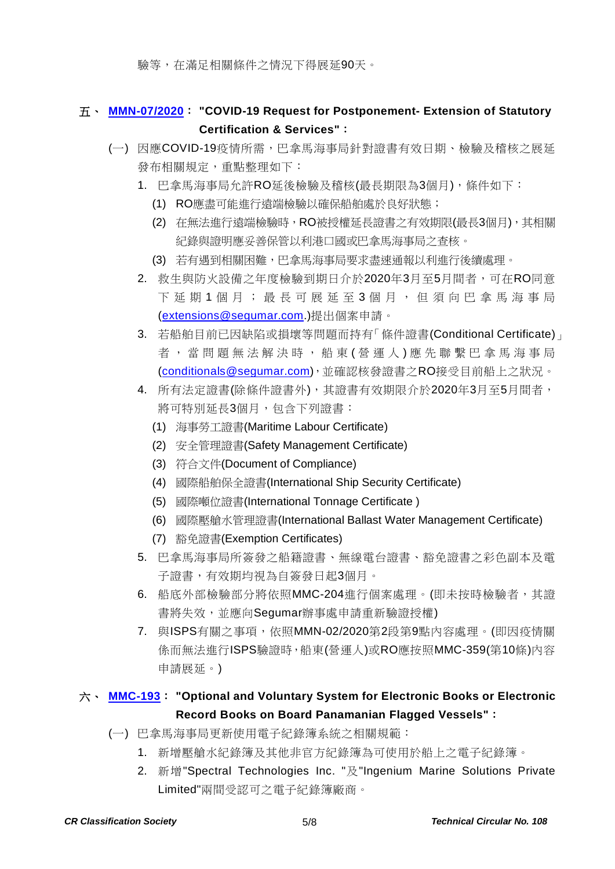驗等,在滿足相關條件之情況下得展延90天。

#### 五、 **[MMN-07/2020](https://www.crclass.org/chinese/download/ti-tc/108/3-5%20MMN-07-2020-Rev.-April-1-2020-1.pdf)**: **"COVID-19 Request for Postponement- Extension of Statutory Certification & Services"**:

- (一) 因應COVID-19疫情所需,巴拿馬海事局針對證書有效日期、檢驗及稽核之展延 發布相關規定,重點整理如下:
	- 1. 巴拿馬海事局允許RO延後檢驗及稽核(最長期限為3個月),條件如下:
		- (1) RO應盡可能進行遠端檢驗以確保船舶處於良好狀態;
		- (2) 在無法進行遠端檢驗時,RO被授權延長證書之有效期限(最長3個月),其相關 紀錄與證明應妥善保管以利港口國或巴拿馬海事局之查核。
		- (3) 若有遇到相關困難,巴拿馬海事局要求盡速通報以利進行後續處理。
	- 2. 救生與防火設備之年度檢驗到期日介於2020年3月至5月間者,可在RO同意 下 延 期 1 個 月 ; 最 長 可 展 延 至 3 個 月 , 但 須 向 巴 拿 馬 海 事 局 [\(extensions@segumar.com.](mailto:extensions@segumar.com))提出個案申請。
	- 3. 若船舶目前已因缺陷或損壞等問題而持有「條件證書(Conditional Certificate)」 者,當問題無法解決時,船東(營運人)應先聯繫巴拿馬海事局 [\(conditionals@segumar.com\)](mailto:conditionals@segumar.com),並確認核發證書之RO接受目前船上之狀況。
	- 4. 所有法定證書(除條件證書外),其證書有效期限介於2020年3月至5月間者, 將可特別延長3個月,包含下列證書:
		- (1) 海事勞工證書(Maritime Labour Certificate)
		- (2) 安全管理證書(Safety Management Certificate)
		- (3) 符合文件(Document of Compliance)
		- (4) 國際船舶保全證書(International Ship Security Certificate)
		- (5) 國際噸位證書(International Tonnage Certificate )
		- (6) 國際壓艙水管理證書(International Ballast Water Management Certificate)
		- (7) 豁免證書(Exemption Certificates)
	- 5. 巴拿馬海事局所簽發之船籍證書、無線電台證書、豁免證書之彩色副本及電 子證書,有效期均視為自簽發日起3個月。
	- 6. 船底外部檢驗部分將依照MMC-204進行個案處理。(即未按時檢驗者,其證 書將失效,並應向Segumar辦事處申請重新驗證授權)
	- 7. 與ISPS有關之事項,依照MMN-02/2020第2段第9點內容處理。(即因疫情關 係而無法進行ISPS驗證時,船東(營運人)或RO應按照MMC-359(第10條)內容 申請展延。)

### 六、 **[MMC-193](https://www.crclass.org/chinese/download/ti-tc/108/3-6%20MMC-193%20-%20VOLUNTARY%20USE%20OF%20ELECTRONIC%20BOOKS%20-%20MARCH.pdf)**: **"Optional and Voluntary System for Electronic Books or Electronic Record Books on Board Panamanian Flagged Vessels"**:

- (一) 巴拿馬海事局更新使用電子紀錄簿系統之相關規範:
	- 1. 新增壓艙水紀錄簿及其他非官方紀錄簿為可使用於船上之電子紀錄簿。
	- 2. 新增"Spectral Technologies Inc. "及"Ingenium Marine Solutions Private Limited"兩間受認可之電子紀錄簿廠商。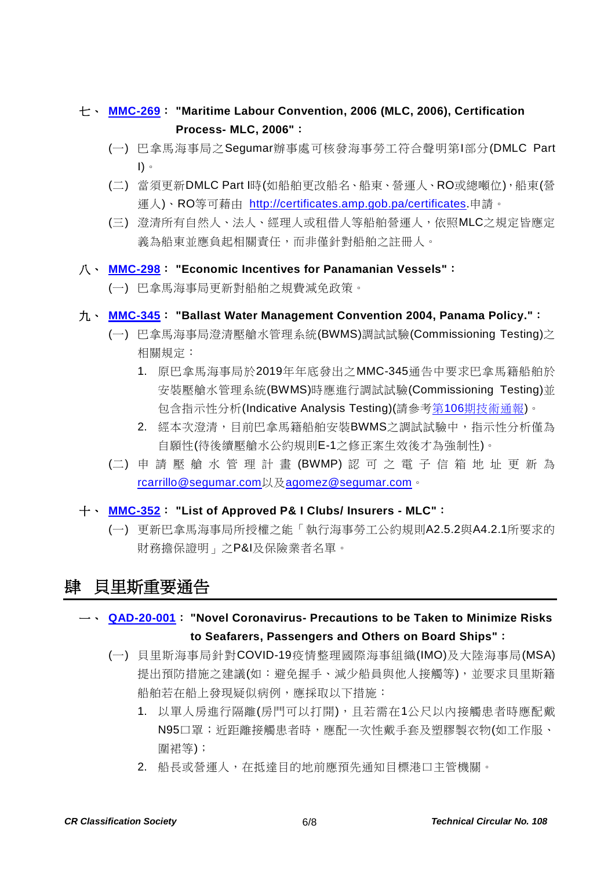#### 七、 **[MMC-269](https://www.crclass.org/chinese/download/ti-tc/108/3-7%20MMC-269-MARCH-02-2020.pdf)**: **"Maritime Labour Convention, 2006 (MLC, 2006), Certification Process- MLC, 2006"**:

- (一) 巴拿馬海事局之Segumar辦事處可核發海事勞工符合聲明第I部分(DMLC Part  $\vert$ )。
- (二) 當須更新DMLC Part I時(如船舶更改船名、船東、營運人、RO或總噸位),船東(營 運人)、RO等可藉由 [http://certificates.amp.gob.pa/certificates.](http://certificates.amp.gob.pa/certificates)申請。
- (三) 澄清所有自然人、法人、經理人或租借人等船舶營運人,依照MLC之規定皆應定 義為船東並應負起相關責任,而非僅針對船舶之註冊人。
- 八、 **[MMC-298](https://www.crclass.org/chinese/download/ti-tc/108/3-8%20MMC-298-febrero-2020.pdf)**: **"Economic Incentives for Panamanian Vessels"**:
	- (一) 巴拿馬海事局更新對船舶之規費減免政策。
- 九、 **[MMC-345](https://www.crclass.org/chinese/download/ti-tc/108/3-9%20MMC-345-BWM-rev-march-2020-1.pdf)**: **"Ballast Water Management Convention 2004, Panama Policy."**:
	- (一) 巴拿馬海事局澄清壓艙水管理系統(BWMS)調試試驗(Commissioning Testing)之 相關規定:
		- 1. 原巴拿馬海事局於2019年年底發出之MMC-345通告中要求巴拿馬籍船舶於 安裝壓艙水管理系統(BWMS)時應進行調試試驗(Commissioning Testing)並 包含指示性分析(Indicative Analysis Testing)(請參考第106[期技術通報](https://www.crclass.org/chinese/download/ti-tc/106/106.pdf))。
		- 2. 經本次澄清,目前巴拿馬籍船舶安裝BWMS之調試試驗中,指示性分析僅為 自願性(待後續壓艙水公約規則E-1之修正案生效後才為強制性)。
	- (二) 申 請 壓艙水管理計畫 (BWMP) 認可之電子信箱地址更新為 [rcarrillo@segumar.com](mailto:rcarrillo@segumar.com)以及[agomez@segumar.com](mailto:agomez@segumar.com)。

十、 **[MMC-352](https://www.crclass.org/chinese/download/ti-tc/108/3-10%20MMC-352-MARCH-27-2020.pdf)**: **"List of Approved P& I Clubs/ Insurers - MLC"**:

(一) 更新巴拿馬海事局所授權之能「執行海事勞工公約規則A2.5.2與A4.2.1所要求的 財務擔保證明」之P&I及保險業者名單。

## 肆 貝里斯重要通告

- 一、 **[QAD-20-001](https://www.crclass.org/chinese/download/ti-tc/108/4-1%20Circular-QAD-20-001%20Novel%20Corona%20Virus.pdf)**: **"Novel Coronavirus- Precautions to be Taken to Minimize Risks to Seafarers, Passengers and Others on Board Ships"**:
	- (一) 貝里斯海事局針對COVID-19疫情整理國際海事組織(IMO)及大陸海事局(MSA) 提出預防措施之建議(如:避免握手、減少船員與他人接觸等),並要求貝里斯籍 船舶若在船上發現疑似病例,應採取以下措施:
		- 1. 以單人房進行隔離(房門可以打開),且若需在1公尺以內接觸患者時應配戴 N95口罩;近距離接觸患者時,應配一次性戴手套及塑膠製衣物(如工作服、 圍裙等);
		- 2. 船長或營運人,在抵達目的地前應預先通知目標港口主管機關。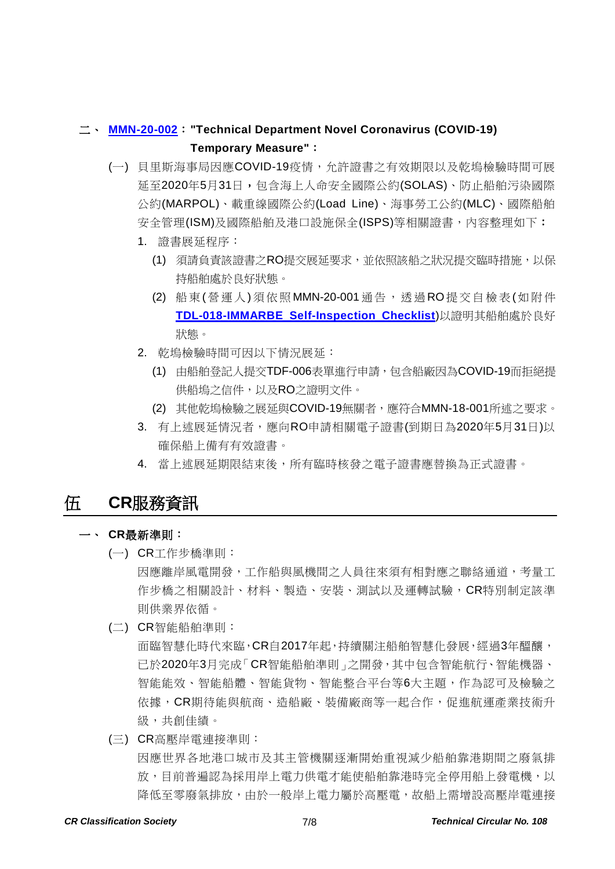### 二、 **[MMN-20-002](https://www.crclass.org/chinese/download/ti-tc/108/4-2%20MMN-20-002%20Technical%20Department%20Novel%20Coronavirus%20(COVID-19)%20Temporary%20M....pdf)**:**"Technical Department Novel Coronavirus (COVID-19) Temporary Measure"**:

- (一) 貝里斯海事局因應COVID-19疫情,允許證書之有效期限以及乾塢檢驗時間可展 延至2020年5月31日,包含海上人命安全國際公約(SOLAS)、防止船舶污染國際 公約(MARPOL)、載重線國際公約(Load Line)、海事勞工公約(MLC)、國際船舶 安全管理(ISM)及國際船舶及港口設施保全(ISPS)等相關證書,內容整理如下:
	- 1. 證書展延程序:
		- (1) 須請負責該證書之RO提交展延要求,並依照該船之狀況提交臨時措施,以保 持船舶處於良好狀態。
		- (2) 船東(營運人)須依照 MMN-20-001 通告,透過RO 提交自檢表(如附件 **[TDL-018-IMMARBE Self-Inspection Checklist](https://www.crclass.org/chinese/download/ti-tc/108/4-3%20TDL-018-IMMARBE%20Self-Inspection%20Checklist.pdf)**)以證明其船舶處於良好 狀態。
	- 2. 乾塢檢驗時間可因以下情況展延:
		- (1) 由船舶登記人提交TDF-006表單進行申請,包含船廠因為COVID-19而拒絕提 供船塢之信件,以及RO之證明文件。
		- (2) 其他乾塢檢驗之展延與COVID-19無關者,應符合MMN-18-001所述之要求。
	- 3. 有上述展延情況者,應向RO申請相關電子證書(到期日為2020年5月31日)以 確保船上備有有效證書。
	- 4. 當上述展延期限結束後,所有臨時核發之電子證書應替換為正式證書。

### 伍 **CR**服務資訊

#### 一、 **CR**最新準則:

- (一) CR工作步橋準則: 因應離岸風電開發,工作船與風機間之人員往來須有相對應之聯絡通道,考量工 作步橋之相關設計、材料、製造、安裝、測試以及運轉試驗,CR特別制定該準 則供業界依循。
- (二) CR智能船舶準則: 面臨智慧化時代來臨,CR自2017年起,持續關注船舶智慧化發展,經過3年醞釀, 已於2020年3月完成「CR智能船舶準則」之開發,其中包含智能航行、智能機器、 智能能效、智能船體、智能貨物、智能整合平台等6大主題,作為認可及檢驗之 依據,CR期待能與航商、造船廠、裝備廠商等一起合作,促進航運產業技術升 級,共創佳績。
- (三) CR高壓岸電連接準則: 因應世界各地港口城市及其主管機關逐漸開始重視減少船舶靠港期間之廢氣排 放,目前普遍認為採用岸上電力供電才能使船舶靠港時完全停用船上發電機,以 降低至零廢氣排放,由於一般岸上電力屬於高壓電,故船上需增設高壓岸電連接